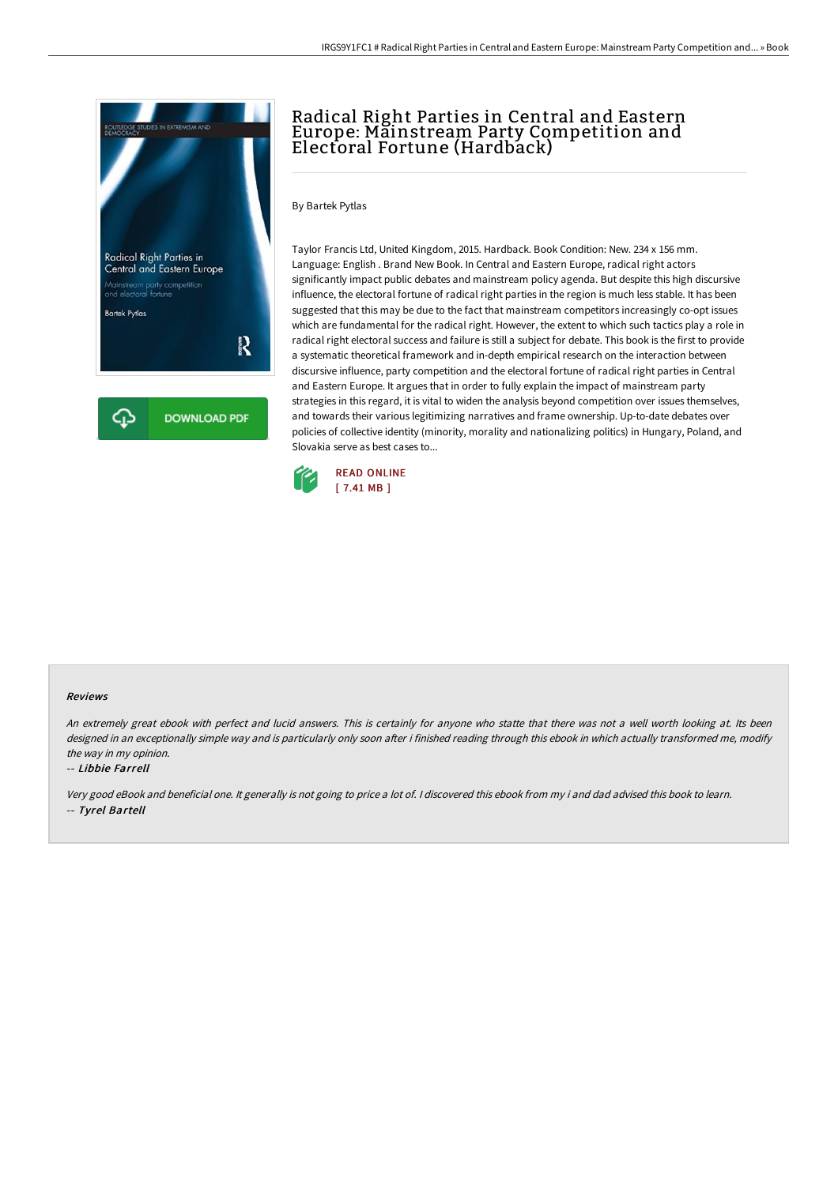

# Radical Right Parties in Central and Eastern Europe: Mainstream Party Competition and Electoral Fortune (Hardback)

### By Bartek Pytlas

Taylor Francis Ltd, United Kingdom, 2015. Hardback. Book Condition: New. 234 x 156 mm. Language: English . Brand New Book. In Central and Eastern Europe, radical right actors significantly impact public debates and mainstream policy agenda. But despite this high discursive influence, the electoral fortune of radical right parties in the region is much less stable. It has been suggested that this may be due to the fact that mainstream competitors increasingly co-opt issues which are fundamental for the radical right. However, the extent to which such tactics play a role in radical right electoral success and failure is still a subject for debate. This book is the first to provide a systematic theoretical framework and in-depth empirical research on the interaction between discursive influence, party competition and the electoral fortune of radical right parties in Central and Eastern Europe. It argues that in order to fully explain the impact of mainstream party strategies in this regard, it is vital to widen the analysis beyond competition over issues themselves, and towards their various legitimizing narratives and frame ownership. Up-to-date debates over policies of collective identity (minority, morality and nationalizing politics) in Hungary, Poland, and Slovakia serve as best cases to...



#### Reviews

An extremely great ebook with perfect and lucid answers. This is certainly for anyone who statte that there was not a well worth looking at. Its been designed in an exceptionally simple way and is particularly only soon after i finished reading through this ebook in which actually transformed me, modify the way in my opinion.

#### -- Libbie Farrell

Very good eBook and beneficial one. It generally is not going to price <sup>a</sup> lot of. <sup>I</sup> discovered this ebook from my i and dad advised this book to learn. -- Tyrel Bartell